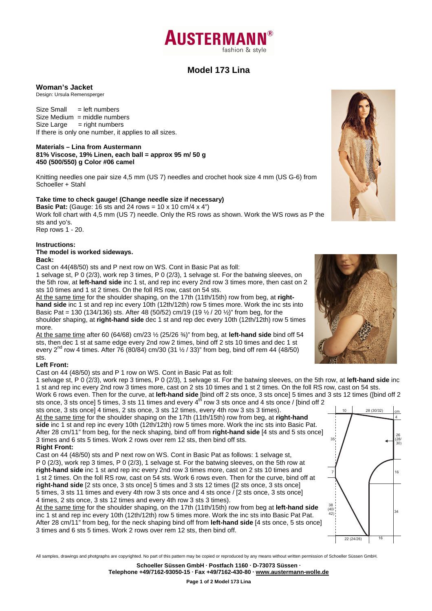

# **Model 173 Lina**

# **Woman's Jacket**

Design: Ursula Remensperger

 $Size Small$  = left numbers  $Size Medium = middle numbers$  $Size Large =$ right numbers If there is only one number, it applies to all sizes.

### **Materials – Lina from Austermann 81% Viscose, 19% Linen, each ball = approx 95 m/ 50 g 450 (500/550) g Color #06 camel**

Knitting needles one pair size 4,5 mm (US 7) needles and crochet hook size 4 mm (US G-6) from Schoeller + Stahl

# **Take time to check gauge! (Change needle size if necessary)**

**Basic Pat:** (Gauge: 16 sts and 24 rows = 10 x 10 cm/4 x 4") Work foll chart with 4,5 mm (US 7) needle. Only the RS rows as shown. Work the WS rows as P the sts and yo's.

Rep rows 1 - 20.

# **Instructions:**

#### **The model is worked sideways. Back:**

Cast on 44(48/50) sts and P next row on WS. Cont in Basic Pat as foll:

1 selvage st, P 0 (2/3), work rep 3 times, P 0 (2/3), 1 selvage st. For the batwing sleeves, on the 5th row, at **left-hand side** inc 1 st, and rep inc every 2nd row 3 times more, then cast on 2 sts 10 times and 1 st 2 times. On the foll RS row, cast on 54 sts.

At the same time for the shoulder shaping, on the 17th (11th/15th) row from beg, at **righthand side** inc 1 st and rep inc every 10th (12th/12th) row 5 times more. Work the inc sts into Basic Pat = 130 (134/136) sts. After 48 (50/52) cm/19 (19  $\frac{1}{2}$  / 20  $\frac{1}{2}$ )" from beg, for the shoulder shaping, at **right-hand side** dec 1 st and rep dec every 10th (12th/12th) row 5 times more.

At the same time after 60 (64/68) cm/23 ½ (25/26 ¾)" from beg, at **left-hand side** bind off 54 sts, then dec 1 st at same edge every 2nd row 2 times, bind off 2 sts 10 times and dec 1 st every  $2^{nd}$  row 4 times. After 76 (80/84) cm/30 (31  $\frac{1}{2}$  / 33)" from beg, bind off rem 44 (48/50) sts.

### **Left Front:**

Cast on 44 (48/50) sts and P 1 row on WS. Cont in Basic Pat as foll:

1 selvage st, P 0 (2/3), work rep 3 times, P 0 (2/3), 1 selvage st. For the batwing sleeves, on the 5th row, at **left-hand side** inc 1 st and rep inc every 2nd row 3 times more, cast on 2 sts 10 times and 1 st 2 times. On the foll RS row, cast on 54 sts. Work 6 rows even. Then for the curve, at **left-hand side** [bind off 2 sts once, 3 sts once] 5 times and 3 sts 12 times ([bind off 2

sts once, 3 sts once] 5 times, 3 sts 11 times and every 4<sup>th</sup> row 3 sts once and 4 sts once / [bind off 2] sts once, 3 sts once] 4 times, 2 sts once, 3 sts 12 times, every 4th row 3 sts 3 times). At the same time for the shoulder shaping on the 17th (11th/15th) row from beg, at **right-hand side** inc 1 st and rep inc every 10th (12th/12th) row 5 times more. Work the inc sts into Basic Pat.

After 28 cm/11" from beg, for the neck shaping, bind off from **right-hand side** [4 sts and 5 sts once] 3 times and 6 sts 5 times. Work 2 rows over rem 12 sts, then bind off sts. **Right Front:**

Cast on 44 (48/50) sts and P next row on WS. Cont in Basic Pat as follows: 1 selvage st, P 0 (2/3), work rep 3 times, P 0 (2/3), 1 selvage st. For the batwing sleeves, on the 5th row at **right-hand side** inc 1 st and rep inc every 2nd row 3 times more, cast on 2 sts 10 times and 1 st 2 times. On the foll RS row, cast on 54 sts. Work 6 rows even. Then for the curve, bind off at **right-hand side** [2 sts once, 3 sts once] 5 times and 3 sts 12 times ([2 sts once, 3 sts once] 5 times, 3 sts 11 times and every 4th row 3 sts once and 4 sts once / [2 sts once, 3 sts once] 4 times, 2 sts once, 3 sts 12 times and every 4th row 3 sts 3 times).

At the same time for the shoulder shaping, on the 17th (11th/15th) row from beg at **left-hand side** inc 1 st and rep inc every 10th (12th/12th) row 5 times more. Work the inc sts into Basic Pat Pat. After 28 cm/11" from beg, for the neck shaping bind off from **left-hand side** [4 sts once, 5 sts once] 3 times and 6 sts 5 times. Work 2 rows over rem 12 sts, then bind off.



All samples, drawings and photgraphs are copyrighted. No part of this pattern may be copied or reproduced by any means without written permission of Schoeller Süssen GmbH.

**Schoeller Süssen GmbH · Postfach 1160 · D-73073 Süssen · Telephone +49/7162-93050-15 · Fax +49/7162-430-80 · www.austermann-wolle.de**